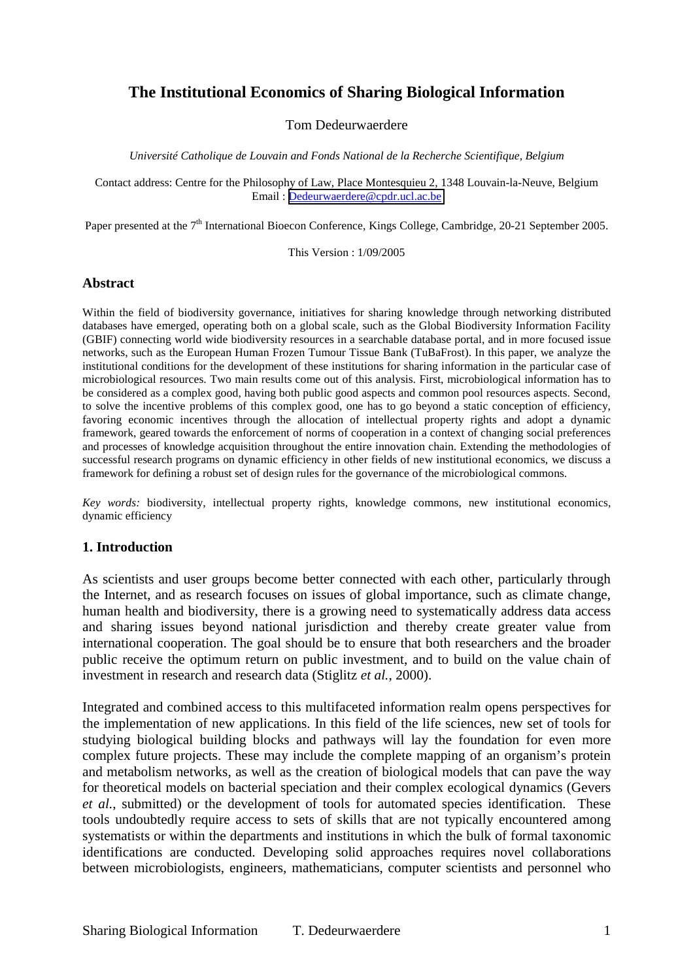# **The Institutional Economics of Sharing Biological Information**

### Tom Dedeurwaerdere

*Université Catholique de Louvain and Fonds National de la Recherche Scientifique, Belgium*

Contact address: Centre for the Philosophy of Law, Place Montesquieu 2, 1348 Louvain-la-Neuve, Belgium Email : [Dedeurwaerdere@cpdr.ucl.ac.be](mailto:Dedeurwaerdere@cpdr.ucl.ac.be)

Paper presented at the 7<sup>th</sup> International Bioecon Conference, Kings College, Cambridge, 20-21 September 2005.

This Version : 1/09/2005

#### **Abstract**

Within the field of biodiversity governance, initiatives for sharing knowledge through networking distributed databases have emerged, operating both on a global scale, such as the Global Biodiversity Information Facility (GBIF) connecting world wide biodiversity resources in a searchable database portal, and in more focused issue networks, such as the European Human Frozen Tumour Tissue Bank (TuBaFrost). In this paper, we analyze the institutional conditions for the development of these institutions for sharing information in the particular case of microbiological resources. Two main results come out of this analysis. First, microbiological information has to be considered as a complex good, having both public good aspects and common pool resources aspects. Second, to solve the incentive problems of this complex good, one has to go beyond a static conception of efficiency, favoring economic incentives through the allocation of intellectual property rights and adopt a dynamic framework, geared towards the enforcement of norms of cooperation in a context of changing social preferences and processes of knowledge acquisition throughout the entire innovation chain. Extending the methodologies of successful research programs on dynamic efficiency in other fields of new institutional economics, we discuss a framework for defining a robust set of design rules for the governance of the microbiological commons.

*Key words:* biodiversity, intellectual property rights, knowledge commons, new institutional economics, dynamic efficiency

#### **1. Introduction**

As scientists and user groups become better connected with each other, particularly through the Internet, and as research focuses on issues of global importance, such as climate change, human health and biodiversity, there is a growing need to systematically address data access and sharing issues beyond national jurisdiction and thereby create greater value from international cooperation. The goal should be to ensure that both researchers and the broader public receive the optimum return on public investment, and to build on the value chain of investment in research and research data (Stiglitz *et al.*, 2000).

Integrated and combined access to this multifaceted information realm opens perspectives for the implementation of new applications. In this field of the life sciences, new set of tools for studying biological building blocks and pathways will lay the foundation for even more complex future projects. These may include the complete mapping of an organism's protein and metabolism networks, as well as the creation of biological models that can pave the way for theoretical models on bacterial speciation and their complex ecological dynamics (Gevers *et al.*, submitted) or the development of tools for automated species identification. These tools undoubtedly require access to sets of skills that are not typically encountered among systematists or within the departments and institutions in which the bulk of formal taxonomic identifications are conducted. Developing solid approaches requires novel collaborations between microbiologists, engineers, mathematicians, computer scientists and personnel who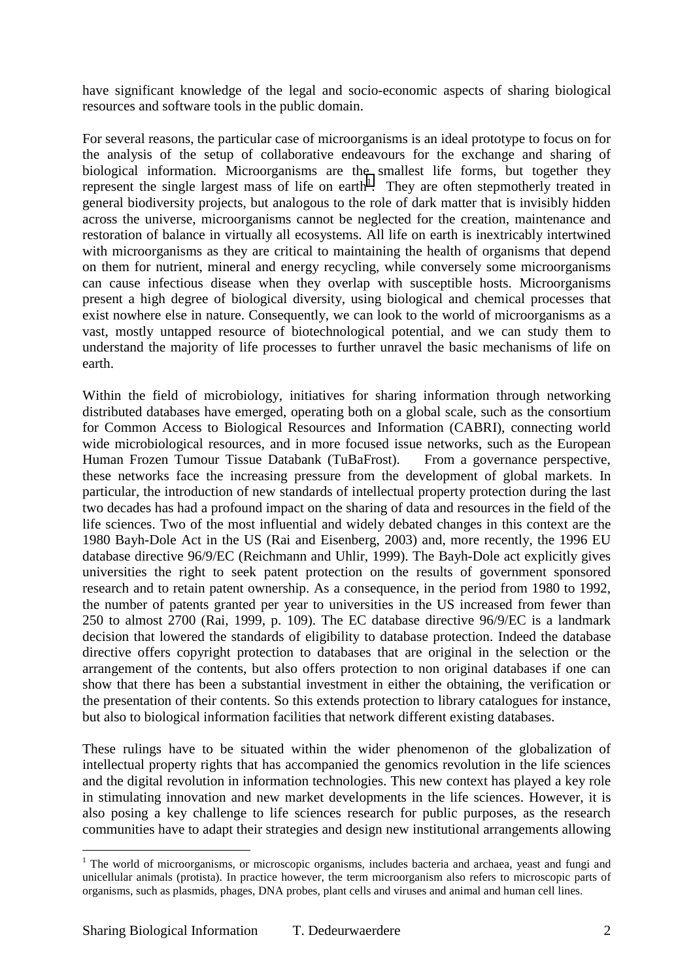have significant knowledge of the legal and socio-economic aspects of sharing biological resources and software tools in the public domain.

For several reasons, the particular case of microorganisms is an ideal prototype to focus on for the analysis of the setup of collaborative endeavours for the exchange and sharing of biological information. Microorganisms are the smallest life forms, but together they represent the single largest mass of life on earth<sup>1</sup>. They are often stepmotherly treated in general biodiversity projects, but analogous to the role of dark matter that is invisibly hidden across the universe, microorganisms cannot be neglected for the creation, maintenance and restoration of balance in virtually all ecosystems. All life on earth is inextricably intertwined with microorganisms as they are critical to maintaining the health of organisms that depend on them for nutrient, mineral and energy recycling, while conversely some microorganisms can cause infectious disease when they overlap with susceptible hosts. Microorganisms present a high degree of biological diversity, using biological and chemical processes that exist nowhere else in nature. Consequently, we can look to the world of microorganisms as a vast, mostly untapped resource of biotechnological potential, and we can study them to understand the majority of life processes to further unravel the basic mechanisms of life on earth.

Within the field of microbiology, initiatives for sharing information through networking distributed databases have emerged, operating both on a global scale, such as the consortium for Common Access to Biological Resources and Information (CABRI), connecting world wide microbiological resources, and in more focused issue networks, such as the European Human Frozen Tumour Tissue Databank (TuBaFrost). From a governance perspective, these networks face the increasing pressure from the development of global markets. In particular, the introduction of new standards of intellectual property protection during the last two decades has had a profound impact on the sharing of data and resources in the field of the life sciences. Two of the most influential and widely debated changes in this context are the 1980 Bayh-Dole Act in the US (Rai and Eisenberg, 2003) and, more recently, the 1996 EU database directive 96/9/EC (Reichmann and Uhlir, 1999). The Bayh-Dole act explicitly gives universities the right to seek patent protection on the results of government sponsored research and to retain patent ownership. As a consequence, in the period from 1980 to 1992, the number of patents granted per year to universities in the US increased from fewer than 250 to almost 2700 (Rai, 1999, p. 109). The EC database directive 96/9/EC is a landmark decision that lowered the standards of eligibility to database protection. Indeed the database directive offers copyright protection to databases that are original in the selection or the arrangement of the contents, but also offers protection to non original databases if one can show that there has been a substantial investment in either the obtaining, the verification or the presentation of their contents. So this extends protection to library catalogues for instance, but also to biological information facilities that network different existing databases.

These rulings have to be situated within the wider phenomenon of the globalization of intellectual property rights that has accompanied the genomics revolution in the life sciences and the digital revolution in information technologies. This new context has played a key role in stimulating innovation and new market developments in the life sciences. However, it is also posing a key challenge to life sciences research for public purposes, as the research communities have to adapt their strategies and design new institutional arrangements allowing

<sup>&</sup>lt;sup>1</sup> The world of microorganisms, or microscopic organisms, includes bacteria and archaea, yeast and fungi and unicellular animals (protista). In practice however, the term microorganism also refers to microscopic parts of organisms, such as plasmids, phages, DNA probes, plant cells and viruses and animal and human cell lines.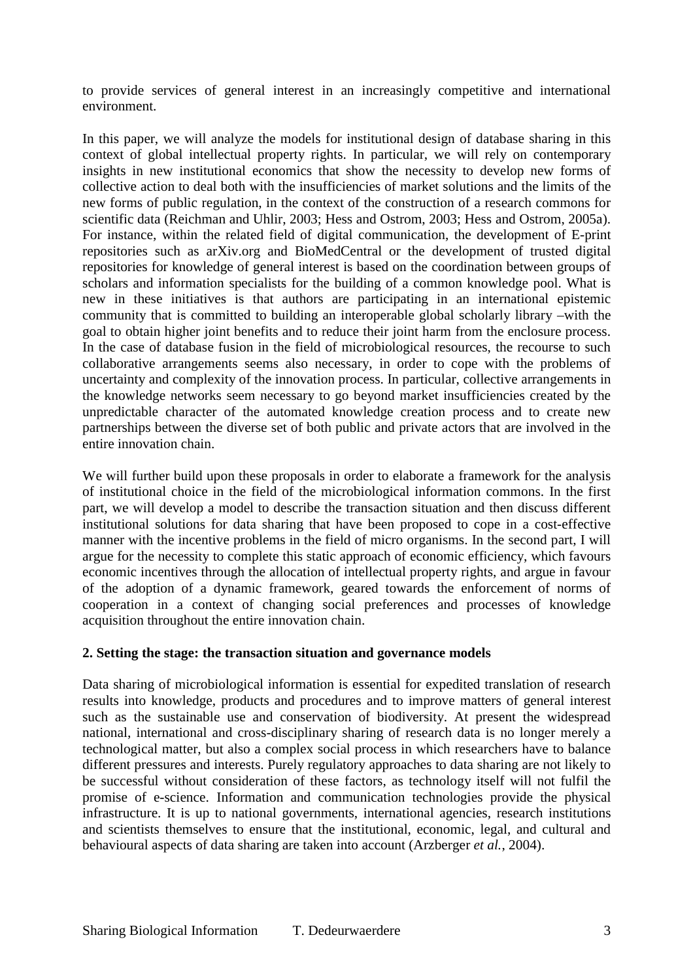to provide services of general interest in an increasingly competitive and international environment.

In this paper, we will analyze the models for institutional design of database sharing in this context of global intellectual property rights. In particular, we will rely on contemporary insights in new institutional economics that show the necessity to develop new forms of collective action to deal both with the insufficiencies of market solutions and the limits of the new forms of public regulation, in the context of the construction of a research commons for scientific data (Reichman and Uhlir, 2003; Hess and Ostrom, 2003; Hess and Ostrom, 2005a). For instance, within the related field of digital communication, the development of E-print repositories such as arXiv.org and BioMedCentral or the development of trusted digital repositories for knowledge of general interest is based on the coordination between groups of scholars and information specialists for the building of a common knowledge pool. What is new in these initiatives is that authors are participating in an international epistemic community that is committed to building an interoperable global scholarly library –with the goal to obtain higher joint benefits and to reduce their joint harm from the enclosure process. In the case of database fusion in the field of microbiological resources, the recourse to such collaborative arrangements seems also necessary, in order to cope with the problems of uncertainty and complexity of the innovation process. In particular, collective arrangements in the knowledge networks seem necessary to go beyond market insufficiencies created by the unpredictable character of the automated knowledge creation process and to create new partnerships between the diverse set of both public and private actors that are involved in the entire innovation chain.

We will further build upon these proposals in order to elaborate a framework for the analysis of institutional choice in the field of the microbiological information commons. In the first part, we will develop a model to describe the transaction situation and then discuss different institutional solutions for data sharing that have been proposed to cope in a cost-effective manner with the incentive problems in the field of micro organisms. In the second part, I will argue for the necessity to complete this static approach of economic efficiency, which favours economic incentives through the allocation of intellectual property rights, and argue in favour of the adoption of a dynamic framework, geared towards the enforcement of norms of cooperation in a context of changing social preferences and processes of knowledge acquisition throughout the entire innovation chain.

### **2. Setting the stage: the transaction situation and governance models**

Data sharing of microbiological information is essential for expedited translation of research results into knowledge, products and procedures and to improve matters of general interest such as the sustainable use and conservation of biodiversity. At present the widespread national, international and cross-disciplinary sharing of research data is no longer merely a technological matter, but also a complex social process in which researchers have to balance different pressures and interests. Purely regulatory approaches to data sharing are not likely to be successful without consideration of these factors, as technology itself will not fulfil the promise of e-science. Information and communication technologies provide the physical infrastructure. It is up to national governments, international agencies, research institutions and scientists themselves to ensure that the institutional, economic, legal, and cultural and behavioural aspects of data sharing are taken into account (Arzberger *et al.*, 2004).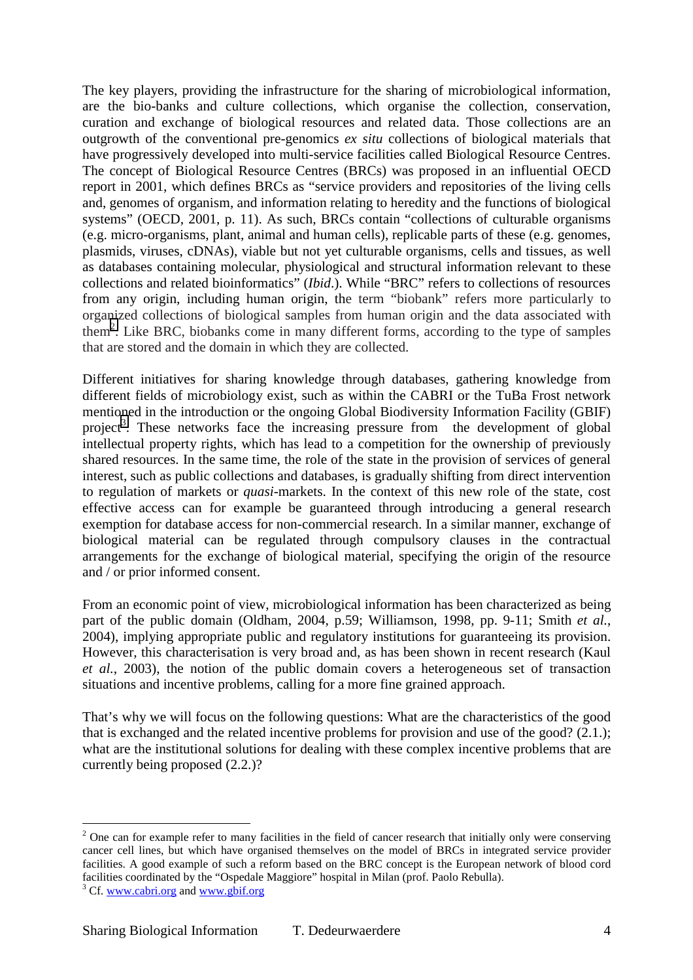The key players, providing the infrastructure for the sharing of microbiological information, are the bio-banks and culture collections, which organise the collection, conservation, curation and exchange of biological resources and related data. Those collections are an outgrowth of the conventional pre-genomics *ex situ* collections of biological materials that have progressively developed into multi-service facilities called Biological Resource Centres. The concept of Biological Resource Centres (BRCs) was proposed in an influential OECD report in 2001, which defines BRCs as "service providers and repositories of the living cells and, genomes of organism, and information relating to heredity and the functions of biological systems" (OECD, 2001, p. 11). As such, BRCs contain "collections of culturable organisms (e.g. micro-organisms, plant, animal and human cells), replicable parts of these (e.g. genomes, plasmids, viruses, cDNAs), viable but not yet culturable organisms, cells and tissues, as well as databases containing molecular, physiological and structural information relevant to these collections and related bioinformatics" (*Ibid*.). While "BRC" refers to collections of resources from any origin, including human origin, the term "biobank" refers more particularly to organized collections of biological samples from human origin and the data associated with them<sup>2</sup>. Like BRC, biobanks come in many different forms, according to the type of samples that are stored and the domain in which they are collected.

Different initiatives for sharing knowledge through databases, gathering knowledge from different fields of microbiology exist, such as within the CABRI or the TuBa Frost network mentioned in the introduction or the ongoing Global Biodiversity Information Facility (GBIF) project<sup>3</sup>. These networks face the increasing pressure from the development of global intellectual property rights, which has lead to a competition for the ownership of previously shared resources. In the same time, the role of the state in the provision of services of general interest, such as public collections and databases, is gradually shifting from direct intervention to regulation of markets or *quasi*-markets. In the context of this new role of the state, cost effective access can for example be guaranteed through introducing a general research exemption for database access for non-commercial research. In a similar manner, exchange of biological material can be regulated through compulsory clauses in the contractual arrangements for the exchange of biological material, specifying the origin of the resource and / or prior informed consent.

From an economic point of view, microbiological information has been characterized as being part of the public domain (Oldham, 2004, p.59; Williamson, 1998, pp. 9-11; Smith *et al.*, 2004), implying appropriate public and regulatory institutions for guaranteeing its provision. However, this characterisation is very broad and, as has been shown in recent research (Kaul *et al.*, 2003), the notion of the public domain covers a heterogeneous set of transaction situations and incentive problems, calling for a more fine grained approach.

That's why we will focus on the following questions: What are the characteristics of the good that is exchanged and the related incentive problems for provision and use of the good? (2.1.); what are the institutional solutions for dealing with these complex incentive problems that are currently being proposed (2.2.)?

 $2$  One can for example refer to many facilities in the field of cancer research that initially only were conserving cancer cell lines, but which have organised themselves on the model of BRCs in integrated service provider facilities. A good example of such a reform based on the BRC concept is the European network of blood cord facilities coordinated by the "Ospedale Maggiore" hospital in Milan (prof. Paolo Rebulla).

<sup>&</sup>lt;sup>3</sup> Cf. www.cabri.org and www.gbif.org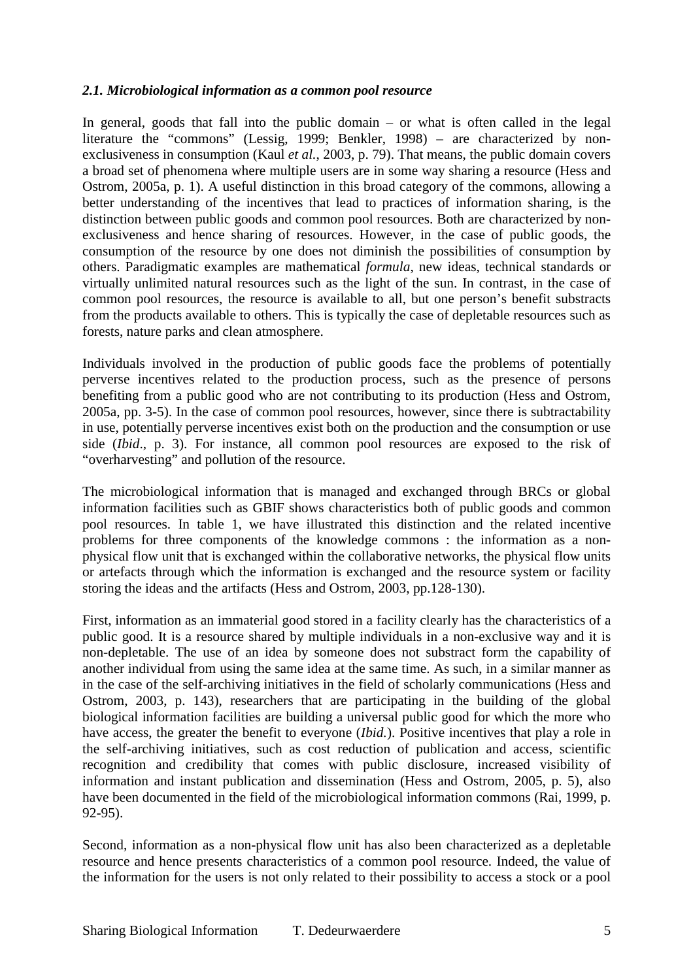### *2.1. Microbiological information as a common pool resource*

In general, goods that fall into the public domain – or what is often called in the legal literature the "commons" (Lessig, 1999; Benkler, 1998) – are characterized by nonexclusiveness in consumption (Kaul *et al.*, 2003, p. 79). That means, the public domain covers a broad set of phenomena where multiple users are in some way sharing a resource (Hess and Ostrom, 2005a, p. 1). A useful distinction in this broad category of the commons, allowing a better understanding of the incentives that lead to practices of information sharing, is the distinction between public goods and common pool resources. Both are characterized by nonexclusiveness and hence sharing of resources. However, in the case of public goods, the consumption of the resource by one does not diminish the possibilities of consumption by others. Paradigmatic examples are mathematical *formula*, new ideas, technical standards or virtually unlimited natural resources such as the light of the sun. In contrast, in the case of common pool resources, the resource is available to all, but one person's benefit substracts from the products available to others. This is typically the case of depletable resources such as forests, nature parks and clean atmosphere.

Individuals involved in the production of public goods face the problems of potentially perverse incentives related to the production process, such as the presence of persons benefiting from a public good who are not contributing to its production (Hess and Ostrom, 2005a, pp. 3-5). In the case of common pool resources, however, since there is subtractability in use, potentially perverse incentives exist both on the production and the consumption or use side (*Ibid*., p. 3). For instance, all common pool resources are exposed to the risk of "overharvesting" and pollution of the resource.

The microbiological information that is managed and exchanged through BRCs or global information facilities such as GBIF shows characteristics both of public goods and common pool resources. In table 1, we have illustrated this distinction and the related incentive problems for three components of the knowledge commons : the information as a nonphysical flow unit that is exchanged within the collaborative networks, the physical flow units or artefacts through which the information is exchanged and the resource system or facility storing the ideas and the artifacts (Hess and Ostrom, 2003, pp.128-130).

First, information as an immaterial good stored in a facility clearly has the characteristics of a public good. It is a resource shared by multiple individuals in a non-exclusive way and it is non-depletable. The use of an idea by someone does not substract form the capability of another individual from using the same idea at the same time. As such, in a similar manner as in the case of the self-archiving initiatives in the field of scholarly communications (Hess and Ostrom, 2003, p. 143), researchers that are participating in the building of the global biological information facilities are building a universal public good for which the more who have access, the greater the benefit to everyone (*Ibid.*). Positive incentives that play a role in the self-archiving initiatives, such as cost reduction of publication and access, scientific recognition and credibility that comes with public disclosure, increased visibility of information and instant publication and dissemination (Hess and Ostrom, 2005, p. 5), also have been documented in the field of the microbiological information commons (Rai, 1999, p. 92-95).

Second, information as a non-physical flow unit has also been characterized as a depletable resource and hence presents characteristics of a common pool resource. Indeed, the value of the information for the users is not only related to their possibility to access a stock or a pool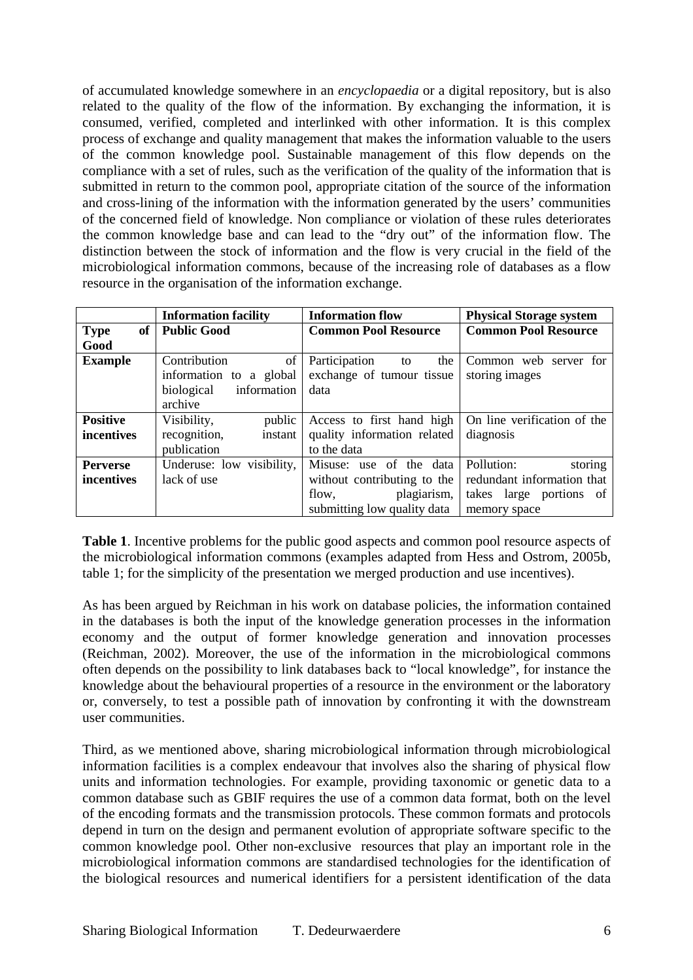of accumulated knowledge somewhere in an *encyclopaedia* or a digital repository, but is also related to the quality of the flow of the information. By exchanging the information, it is consumed, verified, completed and interlinked with other information. It is this complex process of exchange and quality management that makes the information valuable to the users of the common knowledge pool. Sustainable management of this flow depends on the compliance with a set of rules, such as the verification of the quality of the information that is submitted in return to the common pool, appropriate citation of the source of the information and cross-lining of the information with the information generated by the users' communities of the concerned field of knowledge. Non compliance or violation of these rules deteriorates the common knowledge base and can lead to the "dry out" of the information flow. The distinction between the stock of information and the flow is very crucial in the field of the microbiological information commons, because of the increasing role of databases as a flow resource in the organisation of the information exchange.

|                                | <b>Information facility</b> | <b>Information flow</b>     | <b>Physical Storage system</b> |
|--------------------------------|-----------------------------|-----------------------------|--------------------------------|
| <b>Type</b><br>of <sub>1</sub> | <b>Public Good</b>          | <b>Common Pool Resource</b> | <b>Common Pool Resource</b>    |
| Good                           |                             |                             |                                |
| <b>Example</b>                 | Contribution<br>of          | Participation<br>the<br>to  | Common web server for          |
|                                | information to a global     | exchange of tumour tissue   | storing images                 |
|                                | information<br>biological   | data                        |                                |
|                                | archive                     |                             |                                |
| <b>Positive</b>                | Visibility,<br>public       | Access to first hand high   | On line verification of the    |
| incentives                     | recognition,<br>instant     | quality information related | diagnosis                      |
|                                | publication                 | to the data                 |                                |
| <b>Perverse</b>                | Underuse: low visibility,   | Misuse: use of the data     | storing<br>Pollution:          |
| incentives                     | lack of use                 | without contributing to the | redundant information that     |
|                                |                             | plagiarism,<br>flow,        | takes large portions of        |
|                                |                             | submitting low quality data | memory space                   |

**Table 1**. Incentive problems for the public good aspects and common pool resource aspects of the microbiological information commons (examples adapted from Hess and Ostrom, 2005b, table 1; for the simplicity of the presentation we merged production and use incentives).

As has been argued by Reichman in his work on database policies, the information contained in the databases is both the input of the knowledge generation processes in the information economy and the output of former knowledge generation and innovation processes (Reichman, 2002). Moreover, the use of the information in the microbiological commons often depends on the possibility to link databases back to "local knowledge", for instance the knowledge about the behavioural properties of a resource in the environment or the laboratory or, conversely, to test a possible path of innovation by confronting it with the downstream user communities.

Third, as we mentioned above, sharing microbiological information through microbiological information facilities is a complex endeavour that involves also the sharing of physical flow units and information technologies. For example, providing taxonomic or genetic data to a common database such as GBIF requires the use of a common data format, both on the level of the encoding formats and the transmission protocols. These common formats and protocols depend in turn on the design and permanent evolution of appropriate software specific to the common knowledge pool. Other non-exclusive resources that play an important role in the microbiological information commons are standardised technologies for the identification of the biological resources and numerical identifiers for a persistent identification of the data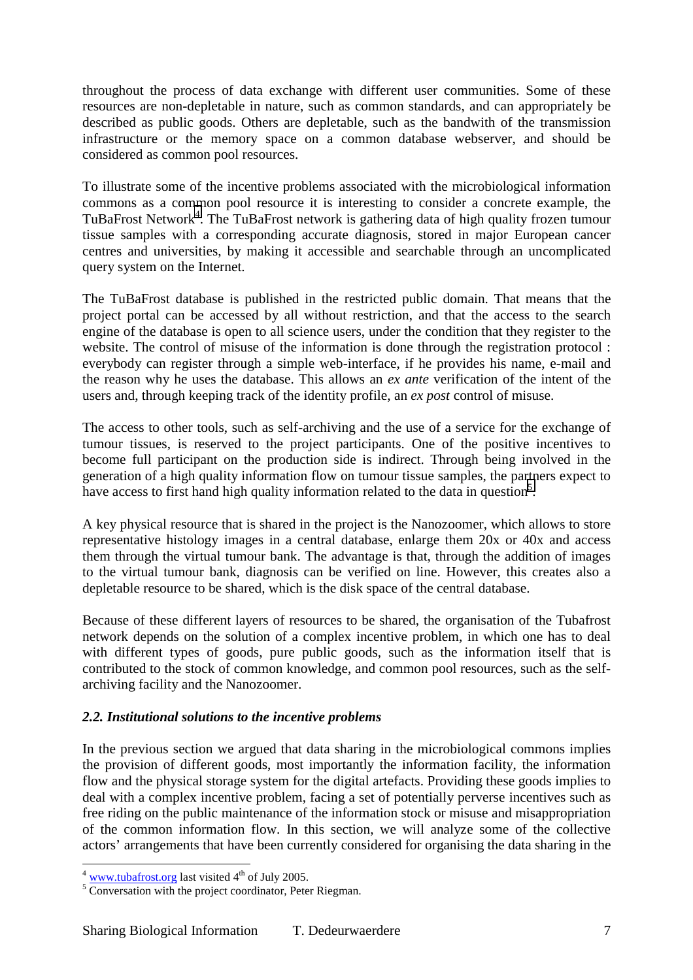throughout the process of data exchange with different user communities. Some of these resources are non-depletable in nature, such as common standards, and can appropriately be described as public goods. Others are depletable, such as the bandwith of the transmission infrastructure or the memory space on a common database webserver, and should be considered as common pool resources.

To illustrate some of the incentive problems associated with the microbiological information commons as a common pool resource it is interesting to consider a concrete example, the TuBaFrost Network<sup>4</sup>. The TuBaFrost network is gathering data of high quality frozen tumour tissue samples with a corresponding accurate diagnosis, stored in major European cancer centres and universities, by making it accessible and searchable through an uncomplicated query system on the Internet.

The TuBaFrost database is published in the restricted public domain. That means that the project portal can be accessed by all without restriction, and that the access to the search engine of the database is open to all science users, under the condition that they register to the website. The control of misuse of the information is done through the registration protocol : everybody can register through a simple web-interface, if he provides his name, e-mail and the reason why he uses the database. This allows an *ex ante* verification of the intent of the users and, through keeping track of the identity profile, an *ex post* control of misuse.

The access to other tools, such as self-archiving and the use of a service for the exchange of tumour tissues, is reserved to the project participants. One of the positive incentives to become full participant on the production side is indirect. Through being involved in the generation of a high quality information flow on tumour tissue samples, the partners expect to have access to first hand high quality information related to the data in question<sup>5</sup>.

A key physical resource that is shared in the project is the Nanozoomer, which allows to store representative histology images in a central database, enlarge them 20x or 40x and access them through the virtual tumour bank. The advantage is that, through the addition of images to the virtual tumour bank, diagnosis can be verified on line. However, this creates also a depletable resource to be shared, which is the disk space of the central database.

Because of these different layers of resources to be shared, the organisation of the Tubafrost network depends on the solution of a complex incentive problem, in which one has to deal with different types of goods, pure public goods, such as the information itself that is contributed to the stock of common knowledge, and common pool resources, such as the selfarchiving facility and the Nanozoomer.

# *2.2. Institutional solutions to the incentive problems*

In the previous section we argued that data sharing in the microbiological commons implies the provision of different goods, most importantly the information facility, the information flow and the physical storage system for the digital artefacts. Providing these goods implies to deal with a complex incentive problem, facing a set of potentially perverse incentives such as free riding on the public maintenance of the information stock or misuse and misappropriation of the common information flow. In this section, we will analyze some of the collective actors' arrangements that have been currently considered for organising the data sharing in the

 $4$  www.tubafrost.org last visited  $4<sup>th</sup>$  of July 2005.

 $\frac{1}{5}$  Conversation with the project coordinator, Peter Riegman.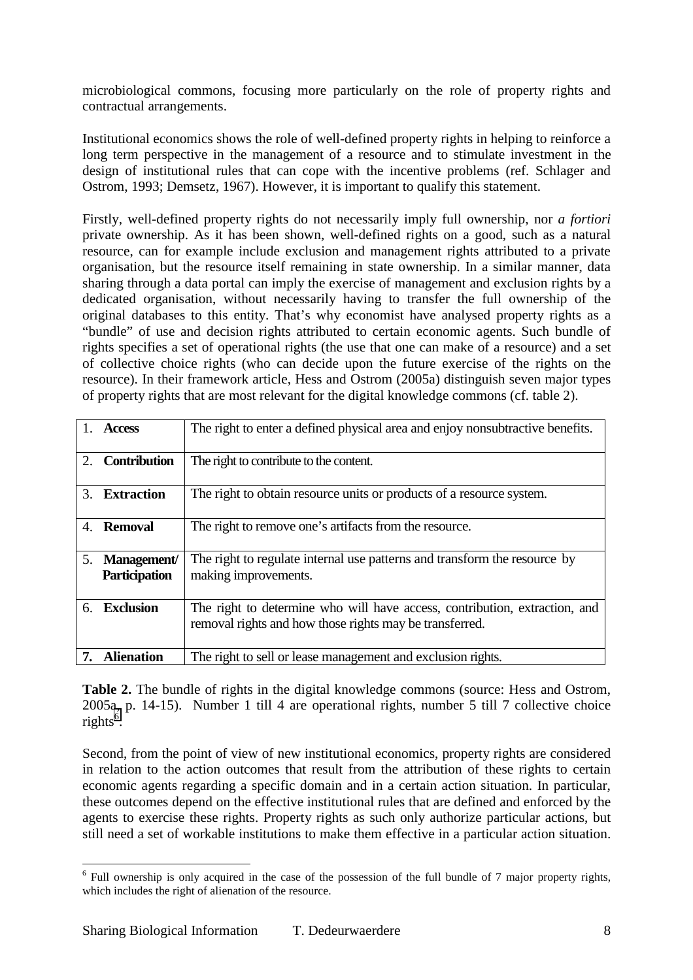microbiological commons, focusing more particularly on the role of property rights and contractual arrangements.

Institutional economics shows the role of well-defined property rights in helping to reinforce a long term perspective in the management of a resource and to stimulate investment in the design of institutional rules that can cope with the incentive problems (ref. Schlager and Ostrom, 1993; Demsetz, 1967). However, it is important to qualify this statement.

Firstly, well-defined property rights do not necessarily imply full ownership, nor *a fortiori* private ownership. As it has been shown, well-defined rights on a good, such as a natural resource, can for example include exclusion and management rights attributed to a private organisation, but the resource itself remaining in state ownership. In a similar manner, data sharing through a data portal can imply the exercise of management and exclusion rights by a dedicated organisation, without necessarily having to transfer the full ownership of the original databases to this entity. That's why economist have analysed property rights as a "bundle" of use and decision rights attributed to certain economic agents. Such bundle of rights specifies a set of operational rights (the use that one can make of a resource) and a set of collective choice rights (who can decide upon the future exercise of the rights on the resource). In their framework article, Hess and Ostrom (2005a) distinguish seven major types of property rights that are most relevant for the digital knowledge commons (cf. table 2).

|                             | <b>Access</b>                       | The right to enter a defined physical area and enjoy nonsubtractive benefits.                                                         |  |
|-----------------------------|-------------------------------------|---------------------------------------------------------------------------------------------------------------------------------------|--|
| 2.                          | <b>Contribution</b>                 | The right to contribute to the content.                                                                                               |  |
| $\mathcal{F}_{\mathcal{L}}$ | <b>Extraction</b>                   | The right to obtain resource units or products of a resource system.                                                                  |  |
| 4.                          | Removal                             | The right to remove one's artifacts from the resource.                                                                                |  |
| 5.                          | Management/<br><b>Participation</b> | The right to regulate internal use patterns and transform the resource by<br>making improvements.                                     |  |
| 6.                          | <b>Exclusion</b>                    | The right to determine who will have access, contribution, extraction, and<br>removal rights and how those rights may be transferred. |  |
|                             | <b>Alienation</b>                   | The right to sell or lease management and exclusion rights.                                                                           |  |

**Table 2.** The bundle of rights in the digital knowledge commons (source: Hess and Ostrom, 2005a, p. 14-15). Number 1 till 4 are operational rights, number 5 till 7 collective choice rights<sup>6</sup>.

Second, from the point of view of new institutional economics, property rights are considered in relation to the action outcomes that result from the attribution of these rights to certain economic agents regarding a specific domain and in a certain action situation. In particular, these outcomes depend on the effective institutional rules that are defined and enforced by the agents to exercise these rights. Property rights as such only authorize particular actions, but still need a set of workable institutions to make them effective in a particular action situation.

<sup>&</sup>lt;sup>6</sup> Full ownership is only acquired in the case of the possession of the full bundle of 7 major property rights, which includes the right of alienation of the resource.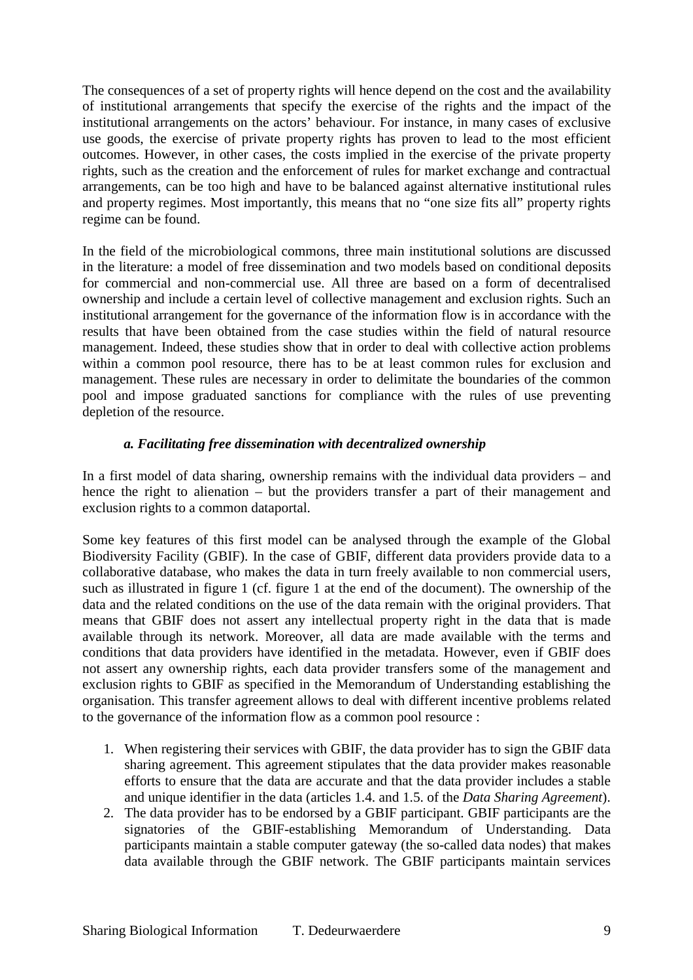The consequences of a set of property rights will hence depend on the cost and the availability of institutional arrangements that specify the exercise of the rights and the impact of the institutional arrangements on the actors' behaviour. For instance, in many cases of exclusive use goods, the exercise of private property rights has proven to lead to the most efficient outcomes. However, in other cases, the costs implied in the exercise of the private property rights, such as the creation and the enforcement of rules for market exchange and contractual arrangements, can be too high and have to be balanced against alternative institutional rules and property regimes. Most importantly, this means that no "one size fits all" property rights regime can be found.

In the field of the microbiological commons, three main institutional solutions are discussed in the literature: a model of free dissemination and two models based on conditional deposits for commercial and non-commercial use. All three are based on a form of decentralised ownership and include a certain level of collective management and exclusion rights. Such an institutional arrangement for the governance of the information flow is in accordance with the results that have been obtained from the case studies within the field of natural resource management. Indeed, these studies show that in order to deal with collective action problems within a common pool resource, there has to be at least common rules for exclusion and management. These rules are necessary in order to delimitate the boundaries of the common pool and impose graduated sanctions for compliance with the rules of use preventing depletion of the resource.

## *a. Facilitating free dissemination with decentralized ownership*

In a first model of data sharing, ownership remains with the individual data providers – and hence the right to alienation – but the providers transfer a part of their management and exclusion rights to a common dataportal.

Some key features of this first model can be analysed through the example of the Global Biodiversity Facility (GBIF). In the case of GBIF, different data providers provide data to a collaborative database, who makes the data in turn freely available to non commercial users, such as illustrated in figure 1 (cf. figure 1 at the end of the document). The ownership of the data and the related conditions on the use of the data remain with the original providers. That means that GBIF does not assert any intellectual property right in the data that is made available through its network. Moreover, all data are made available with the terms and conditions that data providers have identified in the metadata. However, even if GBIF does not assert any ownership rights, each data provider transfers some of the management and exclusion rights to GBIF as specified in the Memorandum of Understanding establishing the organisation. This transfer agreement allows to deal with different incentive problems related to the governance of the information flow as a common pool resource :

- 1. When registering their services with GBIF, the data provider has to sign the GBIF data sharing agreement. This agreement stipulates that the data provider makes reasonable efforts to ensure that the data are accurate and that the data provider includes a stable and unique identifier in the data (articles 1.4. and 1.5. of the *Data Sharing Agreement*).
- 2. The data provider has to be endorsed by a GBIF participant. GBIF participants are the signatories of the GBIF-establishing Memorandum of Understanding. Data participants maintain a stable computer gateway (the so-called data nodes) that makes data available through the GBIF network. The GBIF participants maintain services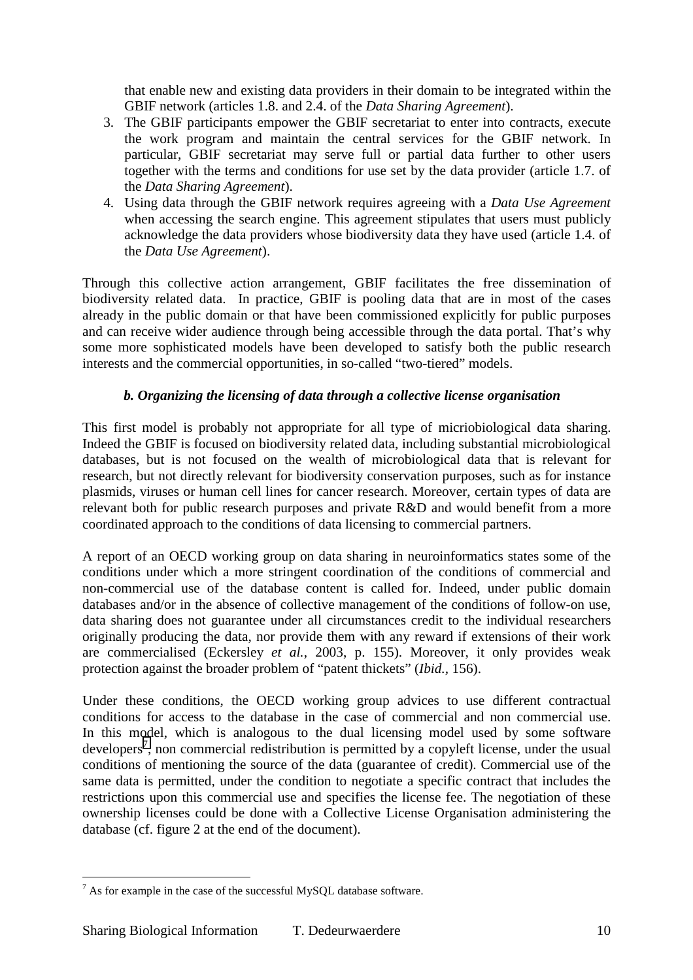that enable new and existing data providers in their domain to be integrated within the GBIF network (articles 1.8. and 2.4. of the *Data Sharing Agreement*).

- 3. The GBIF participants empower the GBIF secretariat to enter into contracts, execute the work program and maintain the central services for the GBIF network. In particular, GBIF secretariat may serve full or partial data further to other users together with the terms and conditions for use set by the data provider (article 1.7. of the *Data Sharing Agreement*).
- 4. Using data through the GBIF network requires agreeing with a *Data Use Agreement* when accessing the search engine. This agreement stipulates that users must publicly acknowledge the data providers whose biodiversity data they have used (article 1.4. of the *Data Use Agreement*).

Through this collective action arrangement, GBIF facilitates the free dissemination of biodiversity related data. In practice, GBIF is pooling data that are in most of the cases already in the public domain or that have been commissioned explicitly for public purposes and can receive wider audience through being accessible through the data portal. That's why some more sophisticated models have been developed to satisfy both the public research interests and the commercial opportunities, in so-called "two-tiered" models.

# *b. Organizing the licensing of data through a collective license organisation*

This first model is probably not appropriate for all type of micriobiological data sharing. Indeed the GBIF is focused on biodiversity related data, including substantial microbiological databases, but is not focused on the wealth of microbiological data that is relevant for research, but not directly relevant for biodiversity conservation purposes, such as for instance plasmids, viruses or human cell lines for cancer research. Moreover, certain types of data are relevant both for public research purposes and private R&D and would benefit from a more coordinated approach to the conditions of data licensing to commercial partners.

A report of an OECD working group on data sharing in neuroinformatics states some of the conditions under which a more stringent coordination of the conditions of commercial and non-commercial use of the database content is called for. Indeed, under public domain databases and/or in the absence of collective management of the conditions of follow-on use, data sharing does not guarantee under all circumstances credit to the individual researchers originally producing the data, nor provide them with any reward if extensions of their work are commercialised (Eckersley *et al.*, 2003, p. 155). Moreover, it only provides weak protection against the broader problem of "patent thickets" (*Ibid.,* 156).

Under these conditions, the OECD working group advices to use different contractual conditions for access to the database in the case of commercial and non commercial use. In this model, which is analogous to the dual licensing model used by some software developers<sup>7</sup>, non commercial redistribution is permitted by a copyleft license, under the usual conditions of mentioning the source of the data (guarantee of credit). Commercial use of the same data is permitted, under the condition to negotiate a specific contract that includes the restrictions upon this commercial use and specifies the license fee. The negotiation of these ownership licenses could be done with a Collective License Organisation administering the database (cf. figure 2 at the end of the document).

<sup>&</sup>lt;sup>7</sup> As for example in the case of the successful MySQL database software.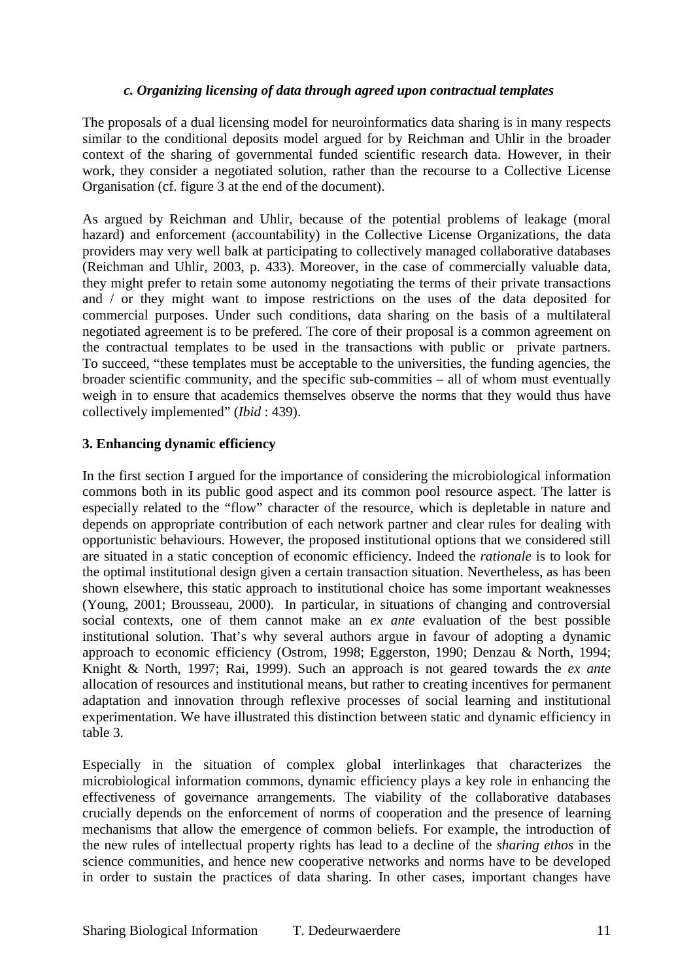## *c. Organizing licensing of data through agreed upon contractual templates*

The proposals of a dual licensing model for neuroinformatics data sharing is in many respects similar to the conditional deposits model argued for by Reichman and Uhlir in the broader context of the sharing of governmental funded scientific research data. However, in their work, they consider a negotiated solution, rather than the recourse to a Collective License Organisation (cf. figure 3 at the end of the document).

As argued by Reichman and Uhlir, because of the potential problems of leakage (moral hazard) and enforcement (accountability) in the Collective License Organizations, the data providers may very well balk at participating to collectively managed collaborative databases (Reichman and Uhlir, 2003, p. 433). Moreover, in the case of commercially valuable data, they might prefer to retain some autonomy negotiating the terms of their private transactions and / or they might want to impose restrictions on the uses of the data deposited for commercial purposes. Under such conditions, data sharing on the basis of a multilateral negotiated agreement is to be prefered. The core of their proposal is a common agreement on the contractual templates to be used in the transactions with public or private partners. To succeed, "these templates must be acceptable to the universities, the funding agencies, the broader scientific community, and the specific sub-commities – all of whom must eventually weigh in to ensure that academics themselves observe the norms that they would thus have collectively implemented" (*Ibid* : 439).

## **3. Enhancing dynamic efficiency**

In the first section I argued for the importance of considering the microbiological information commons both in its public good aspect and its common pool resource aspect. The latter is especially related to the "flow" character of the resource, which is depletable in nature and depends on appropriate contribution of each network partner and clear rules for dealing with opportunistic behaviours. However, the proposed institutional options that we considered still are situated in a static conception of economic efficiency. Indeed the *rationale* is to look for the optimal institutional design given a certain transaction situation. Nevertheless, as has been shown elsewhere, this static approach to institutional choice has some important weaknesses (Young, 2001; Brousseau, 2000). In particular, in situations of changing and controversial social contexts, one of them cannot make an *ex ante* evaluation of the best possible institutional solution. That's why several authors argue in favour of adopting a dynamic approach to economic efficiency (Ostrom, 1998; Eggerston, 1990; Denzau & North, 1994; Knight & North, 1997; Rai, 1999). Such an approach is not geared towards the *ex ante* allocation of resources and institutional means, but rather to creating incentives for permanent adaptation and innovation through reflexive processes of social learning and institutional experimentation. We have illustrated this distinction between static and dynamic efficiency in table 3.

Especially in the situation of complex global interlinkages that characterizes the microbiological information commons, dynamic efficiency plays a key role in enhancing the effectiveness of governance arrangements. The viability of the collaborative databases crucially depends on the enforcement of norms of cooperation and the presence of learning mechanisms that allow the emergence of common beliefs. For example, the introduction of the new rules of intellectual property rights has lead to a decline of the *sharing ethos* in the science communities, and hence new cooperative networks and norms have to be developed in order to sustain the practices of data sharing. In other cases, important changes have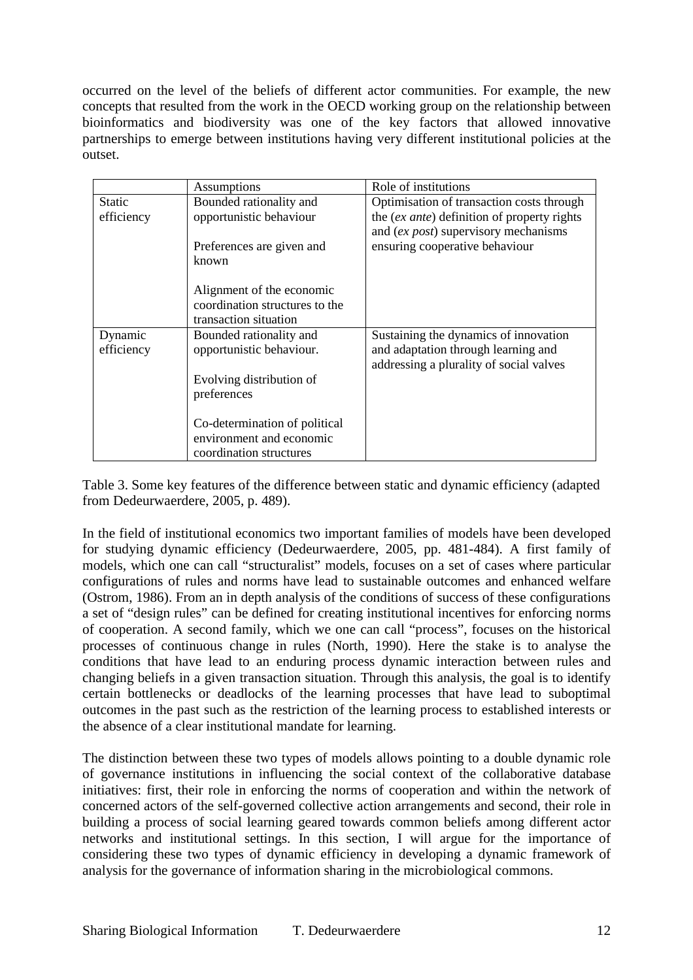occurred on the level of the beliefs of different actor communities. For example, the new concepts that resulted from the work in the OECD working group on the relationship between bioinformatics and biodiversity was one of the key factors that allowed innovative partnerships to emerge between institutions having very different institutional policies at the outset.

|                             | Assumptions                                                                                    | Role of institutions                                                                                                                                               |
|-----------------------------|------------------------------------------------------------------------------------------------|--------------------------------------------------------------------------------------------------------------------------------------------------------------------|
| <b>Static</b><br>efficiency | Bounded rationality and<br>opportunistic behaviour<br>Preferences are given and<br>known       | Optimisation of transaction costs through<br>the (ex ante) definition of property rights<br>and (ex post) supervisory mechanisms<br>ensuring cooperative behaviour |
|                             | Alignment of the economic<br>coordination structures to the<br>transaction situation           |                                                                                                                                                                    |
| Dynamic<br>efficiency       | Bounded rationality and<br>opportunistic behaviour.<br>Evolving distribution of<br>preferences | Sustaining the dynamics of innovation<br>and adaptation through learning and<br>addressing a plurality of social valves                                            |
|                             | Co-determination of political<br>environment and economic<br>coordination structures           |                                                                                                                                                                    |

Table 3. Some key features of the difference between static and dynamic efficiency (adapted from Dedeurwaerdere, 2005, p. 489).

In the field of institutional economics two important families of models have been developed for studying dynamic efficiency (Dedeurwaerdere, 2005, pp. 481-484). A first family of models, which one can call "structuralist" models, focuses on a set of cases where particular configurations of rules and norms have lead to sustainable outcomes and enhanced welfare (Ostrom, 1986). From an in depth analysis of the conditions of success of these configurations a set of "design rules" can be defined for creating institutional incentives for enforcing norms of cooperation. A second family, which we one can call "process", focuses on the historical processes of continuous change in rules (North, 1990). Here the stake is to analyse the conditions that have lead to an enduring process dynamic interaction between rules and changing beliefs in a given transaction situation. Through this analysis, the goal is to identify certain bottlenecks or deadlocks of the learning processes that have lead to suboptimal outcomes in the past such as the restriction of the learning process to established interests or the absence of a clear institutional mandate for learning.

The distinction between these two types of models allows pointing to a double dynamic role of governance institutions in influencing the social context of the collaborative database initiatives: first, their role in enforcing the norms of cooperation and within the network of concerned actors of the self-governed collective action arrangements and second, their role in building a process of social learning geared towards common beliefs among different actor networks and institutional settings. In this section, I will argue for the importance of considering these two types of dynamic efficiency in developing a dynamic framework of analysis for the governance of information sharing in the microbiological commons.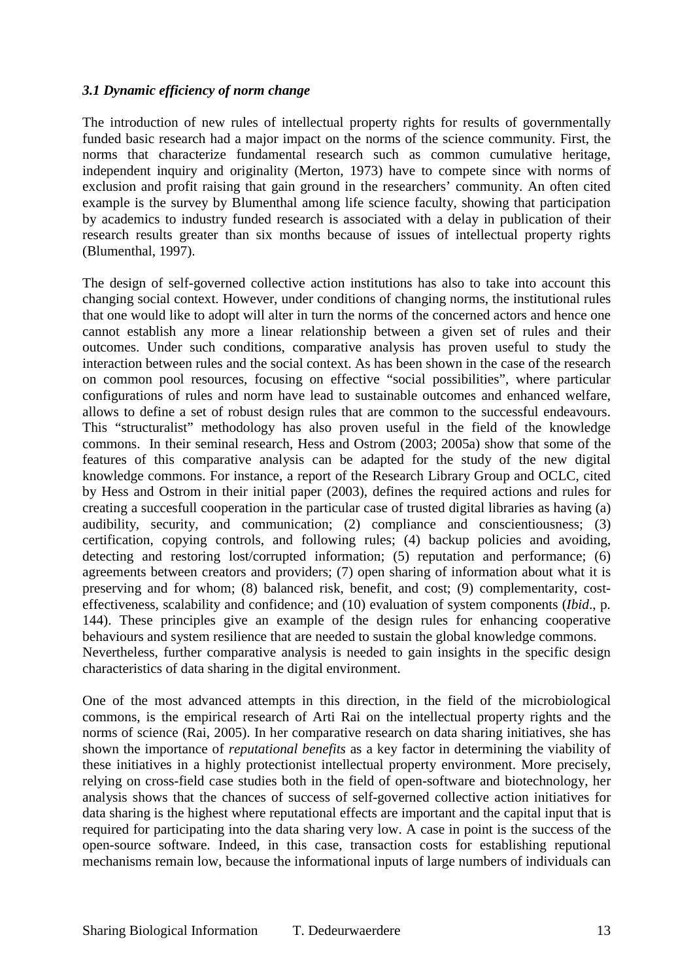## *3.1 Dynamic efficiency of norm change*

The introduction of new rules of intellectual property rights for results of governmentally funded basic research had a major impact on the norms of the science community. First, the norms that characterize fundamental research such as common cumulative heritage, independent inquiry and originality (Merton, 1973) have to compete since with norms of exclusion and profit raising that gain ground in the researchers' community. An often cited example is the survey by Blumenthal among life science faculty, showing that participation by academics to industry funded research is associated with a delay in publication of their research results greater than six months because of issues of intellectual property rights (Blumenthal, 1997).

The design of self-governed collective action institutions has also to take into account this changing social context. However, under conditions of changing norms, the institutional rules that one would like to adopt will alter in turn the norms of the concerned actors and hence one cannot establish any more a linear relationship between a given set of rules and their outcomes. Under such conditions, comparative analysis has proven useful to study the interaction between rules and the social context. As has been shown in the case of the research on common pool resources, focusing on effective "social possibilities", where particular configurations of rules and norm have lead to sustainable outcomes and enhanced welfare, allows to define a set of robust design rules that are common to the successful endeavours. This "structuralist" methodology has also proven useful in the field of the knowledge commons. In their seminal research, Hess and Ostrom (2003; 2005a) show that some of the features of this comparative analysis can be adapted for the study of the new digital knowledge commons. For instance, a report of the Research Library Group and OCLC, cited by Hess and Ostrom in their initial paper (2003), defines the required actions and rules for creating a succesfull cooperation in the particular case of trusted digital libraries as having (a) audibility, security, and communication; (2) compliance and conscientiousness; (3) certification, copying controls, and following rules; (4) backup policies and avoiding, detecting and restoring lost/corrupted information; (5) reputation and performance; (6) agreements between creators and providers; (7) open sharing of information about what it is preserving and for whom; (8) balanced risk, benefit, and cost; (9) complementarity, costeffectiveness, scalability and confidence; and (10) evaluation of system components (*Ibid*., p. 144). These principles give an example of the design rules for enhancing cooperative behaviours and system resilience that are needed to sustain the global knowledge commons. Nevertheless, further comparative analysis is needed to gain insights in the specific design characteristics of data sharing in the digital environment.

One of the most advanced attempts in this direction, in the field of the microbiological commons, is the empirical research of Arti Rai on the intellectual property rights and the norms of science (Rai, 2005). In her comparative research on data sharing initiatives, she has shown the importance of *reputational benefits* as a key factor in determining the viability of these initiatives in a highly protectionist intellectual property environment. More precisely, relying on cross-field case studies both in the field of open-software and biotechnology, her analysis shows that the chances of success of self-governed collective action initiatives for data sharing is the highest where reputational effects are important and the capital input that is required for participating into the data sharing very low. A case in point is the success of the open-source software. Indeed, in this case, transaction costs for establishing reputional mechanisms remain low, because the informational inputs of large numbers of individuals can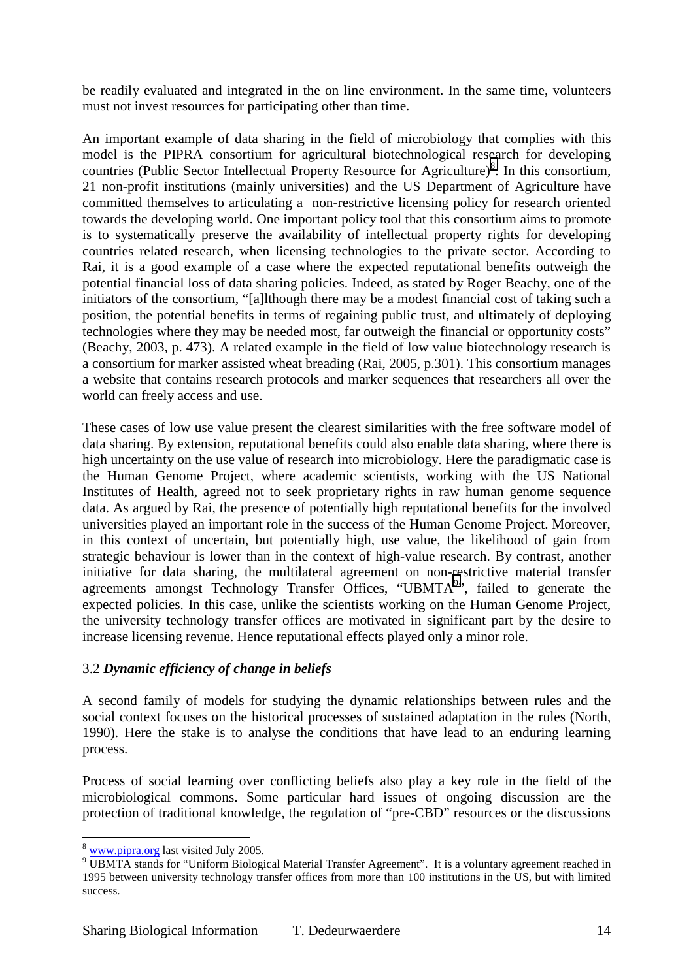be readily evaluated and integrated in the on line environment. In the same time, volunteers must not invest resources for participating other than time.

An important example of data sharing in the field of microbiology that complies with this model is the PIPRA consortium for agricultural biotechnological research for developing countries (Public Sector Intellectual Property Resource for Agriculture)<sup>8</sup>. In this consortium, 21 non-profit institutions (mainly universities) and the US Department of Agriculture have committed themselves to articulating a non-restrictive licensing policy for research oriented towards the developing world. One important policy tool that this consortium aims to promote is to systematically preserve the availability of intellectual property rights for developing countries related research, when licensing technologies to the private sector. According to Rai, it is a good example of a case where the expected reputational benefits outweigh the potential financial loss of data sharing policies. Indeed, as stated by Roger Beachy, one of the initiators of the consortium, "[a]lthough there may be a modest financial cost of taking such a position, the potential benefits in terms of regaining public trust, and ultimately of deploying technologies where they may be needed most, far outweigh the financial or opportunity costs" (Beachy, 2003, p. 473). A related example in the field of low value biotechnology research is a consortium for marker assisted wheat breading (Rai, 2005, p.301). This consortium manages a website that contains research protocols and marker sequences that researchers all over the world can freely access and use.

These cases of low use value present the clearest similarities with the free software model of data sharing. By extension, reputational benefits could also enable data sharing, where there is high uncertainty on the use value of research into microbiology. Here the paradigmatic case is the Human Genome Project, where academic scientists, working with the US National Institutes of Health, agreed not to seek proprietary rights in raw human genome sequence data. As argued by Rai, the presence of potentially high reputational benefits for the involved universities played an important role in the success of the Human Genome Project. Moreover, in this context of uncertain, but potentially high, use value, the likelihood of gain from strategic behaviour is lower than in the context of high-value research. By contrast, another initiative for data sharing, the multilateral agreement on non-restrictive material transfer agreements amongst Technology Transfer Offices, "UBMTA<sup>9</sup>", failed to generate the expected policies. In this case, unlike the scientists working on the Human Genome Project, the university technology transfer offices are motivated in significant part by the desire to increase licensing revenue. Hence reputational effects played only a minor role.

# 3.2 *Dynamic efficiency of change in beliefs*

A second family of models for studying the dynamic relationships between rules and the social context focuses on the historical processes of sustained adaptation in the rules (North, 1990). Here the stake is to analyse the conditions that have lead to an enduring learning process.

Process of social learning over conflicting beliefs also play a key role in the field of the microbiological commons. Some particular hard issues of ongoing discussion are the protection of traditional knowledge, the regulation of "pre-CBD" resources or the discussions

 $8$  www.pipra.org last visited July 2005.

<sup>&</sup>lt;sup>9</sup> UBMTA stands for "Uniform Biological Material Transfer Agreement". It is a voluntary agreement reached in 1995 between university technology transfer offices from more than 100 institutions in the US, but with limited success.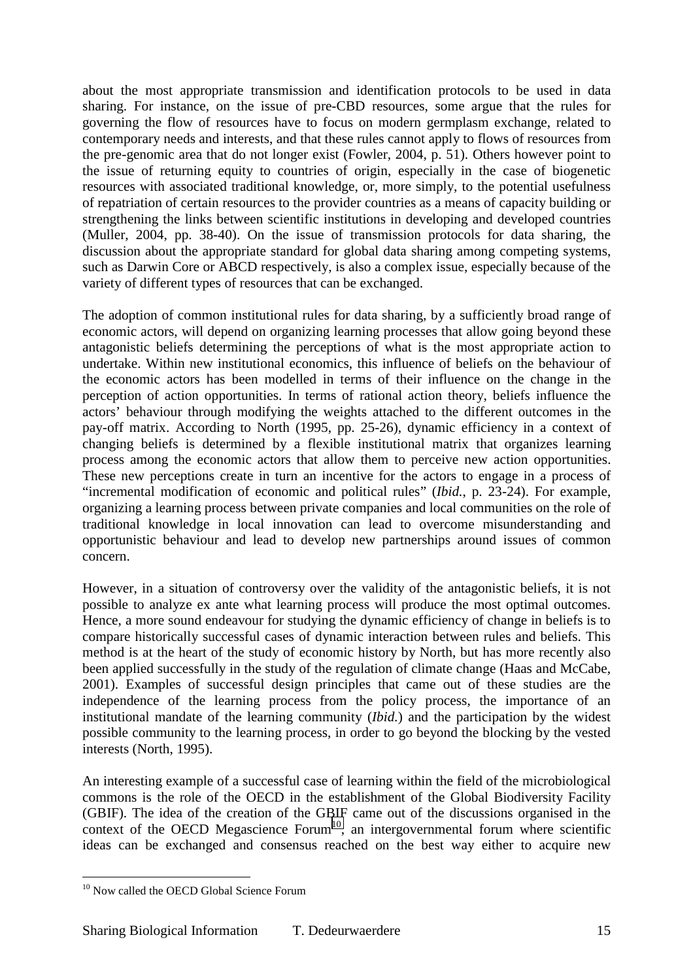about the most appropriate transmission and identification protocols to be used in data sharing. For instance, on the issue of pre-CBD resources, some argue that the rules for governing the flow of resources have to focus on modern germplasm exchange, related to contemporary needs and interests, and that these rules cannot apply to flows of resources from the pre-genomic area that do not longer exist (Fowler, 2004, p. 51). Others however point to the issue of returning equity to countries of origin, especially in the case of biogenetic resources with associated traditional knowledge, or, more simply, to the potential usefulness of repatriation of certain resources to the provider countries as a means of capacity building or strengthening the links between scientific institutions in developing and developed countries (Muller, 2004, pp. 38-40). On the issue of transmission protocols for data sharing, the discussion about the appropriate standard for global data sharing among competing systems, such as Darwin Core or ABCD respectively, is also a complex issue, especially because of the variety of different types of resources that can be exchanged.

The adoption of common institutional rules for data sharing, by a sufficiently broad range of economic actors, will depend on organizing learning processes that allow going beyond these antagonistic beliefs determining the perceptions of what is the most appropriate action to undertake. Within new institutional economics, this influence of beliefs on the behaviour of the economic actors has been modelled in terms of their influence on the change in the perception of action opportunities. In terms of rational action theory, beliefs influence the actors' behaviour through modifying the weights attached to the different outcomes in the pay-off matrix. According to North (1995, pp. 25-26), dynamic efficiency in a context of changing beliefs is determined by a flexible institutional matrix that organizes learning process among the economic actors that allow them to perceive new action opportunities. These new perceptions create in turn an incentive for the actors to engage in a process of "incremental modification of economic and political rules" (*Ibid.*, p. 23-24). For example, organizing a learning process between private companies and local communities on the role of traditional knowledge in local innovation can lead to overcome misunderstanding and opportunistic behaviour and lead to develop new partnerships around issues of common concern.

However, in a situation of controversy over the validity of the antagonistic beliefs, it is not possible to analyze ex ante what learning process will produce the most optimal outcomes. Hence, a more sound endeavour for studying the dynamic efficiency of change in beliefs is to compare historically successful cases of dynamic interaction between rules and beliefs. This method is at the heart of the study of economic history by North, but has more recently also been applied successfully in the study of the regulation of climate change (Haas and McCabe, 2001). Examples of successful design principles that came out of these studies are the independence of the learning process from the policy process, the importance of an institutional mandate of the learning community (*Ibid.*) and the participation by the widest possible community to the learning process, in order to go beyond the blocking by the vested interests (North, 1995).

An interesting example of a successful case of learning within the field of the microbiological commons is the role of the OECD in the establishment of the Global Biodiversity Facility (GBIF). The idea of the creation of the GBIF came out of the discussions organised in the context of the OECD Megascience  $Form<sup>10</sup>$ , an intergovernmental forum where scientific ideas can be exchanged and consensus reached on the best way either to acquire new

<sup>&</sup>lt;sup>10</sup> Now called the OECD Global Science Forum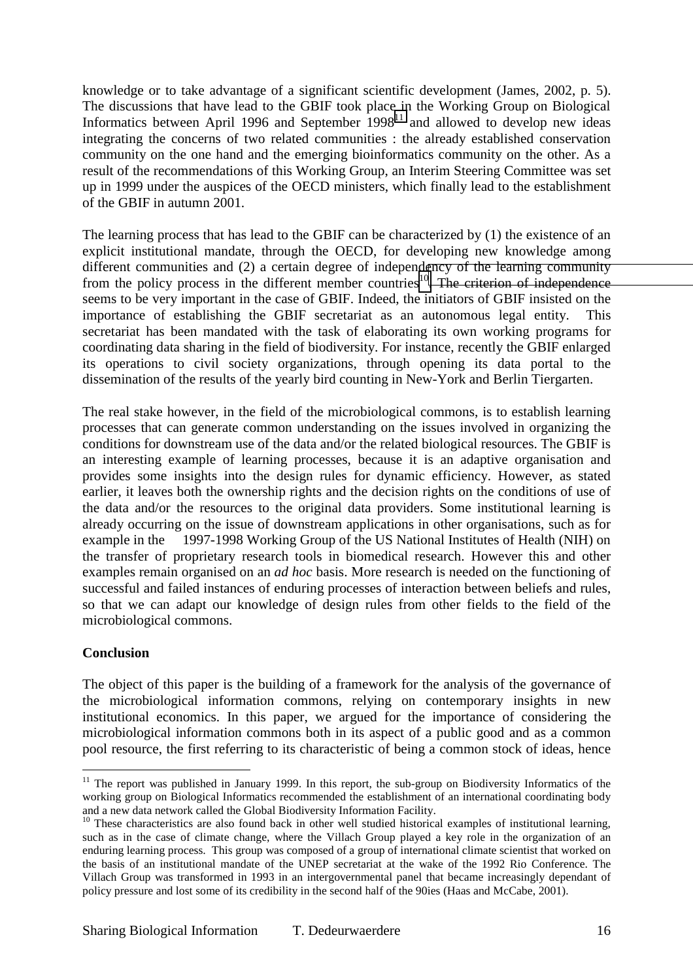knowledge or to take advantage of a significant scientific development (James, 2002, p. 5). The discussions that have lead to the GBIF took place in the Working Group on Biological Informatics between April 1996 and September 1998<sup>11</sup> and allowed to develop new ideas integrating the concerns of two related communities : the already established conservation community on the one hand and the emerging bioinformatics community on the other. As a result of the recommendations of this Working Group, an Interim Steering Committee was set up in 1999 under the auspices of the OECD ministers, which finally lead to the establishment of the GBIF in autumn 2001.

The learning process that has lead to the GBIF can be characterized by (1) the existence of an explicit institutional mandate, through the OECD, for developing new knowledge among different communities and (2) a certain degree of independency of the learning community from the policy process in the different member countries<sup>10</sup>. The criterion of independence seems to be very important in the case of GBIF. Indeed, the initiators of GBIF insisted on the importance of establishing the GBIF secretariat as an autonomous legal entity. This secretariat has been mandated with the task of elaborating its own working programs for coordinating data sharing in the field of biodiversity. For instance, recently the GBIF enlarged its operations to civil society organizations, through opening its data portal to the dissemination of the results of the yearly bird counting in New-York and Berlin Tiergarten.

The real stake however, in the field of the microbiological commons, is to establish learning processes that can generate common understanding on the issues involved in organizing the conditions for downstream use of the data and/or the related biological resources. The GBIF is an interesting example of learning processes, because it is an adaptive organisation and provides some insights into the design rules for dynamic efficiency. However, as stated earlier, it leaves both the ownership rights and the decision rights on the conditions of use of the data and/or the resources to the original data providers. Some institutional learning is already occurring on the issue of downstream applications in other organisations, such as for example in the 1997-1998 Working Group of the US National Institutes of Health (NIH) on the transfer of proprietary research tools in biomedical research. However this and other examples remain organised on an *ad hoc* basis. More research is needed on the functioning of successful and failed instances of enduring processes of interaction between beliefs and rules, so that we can adapt our knowledge of design rules from other fields to the field of the microbiological commons.

# **Conclusion**

 $\overline{a}$ 

The object of this paper is the building of a framework for the analysis of the governance of the microbiological information commons, relying on contemporary insights in new institutional economics. In this paper, we argued for the importance of considering the microbiological information commons both in its aspect of a public good and as a common pool resource, the first referring to its characteristic of being a common stock of ideas, hence

<sup>&</sup>lt;sup>11</sup> The report was published in January 1999. In this report, the sub-group on Biodiversity Informatics of the working group on Biological Informatics recommended the establishment of an international coordinating body and a new data network called the Global Biodiversity Information Facility.

 $10$  These characteristics are also found back in other well studied historical examples of institutional learning, such as in the case of climate change, where the Villach Group played a key role in the organization of an enduring learning process. This group was composed of a group of international climate scientist that worked on the basis of an institutional mandate of the UNEP secretariat at the wake of the 1992 Rio Conference. The Villach Group was transformed in 1993 in an intergovernmental panel that became increasingly dependant of policy pressure and lost some of its credibility in the second half of the 90ies (Haas and McCabe, 2001).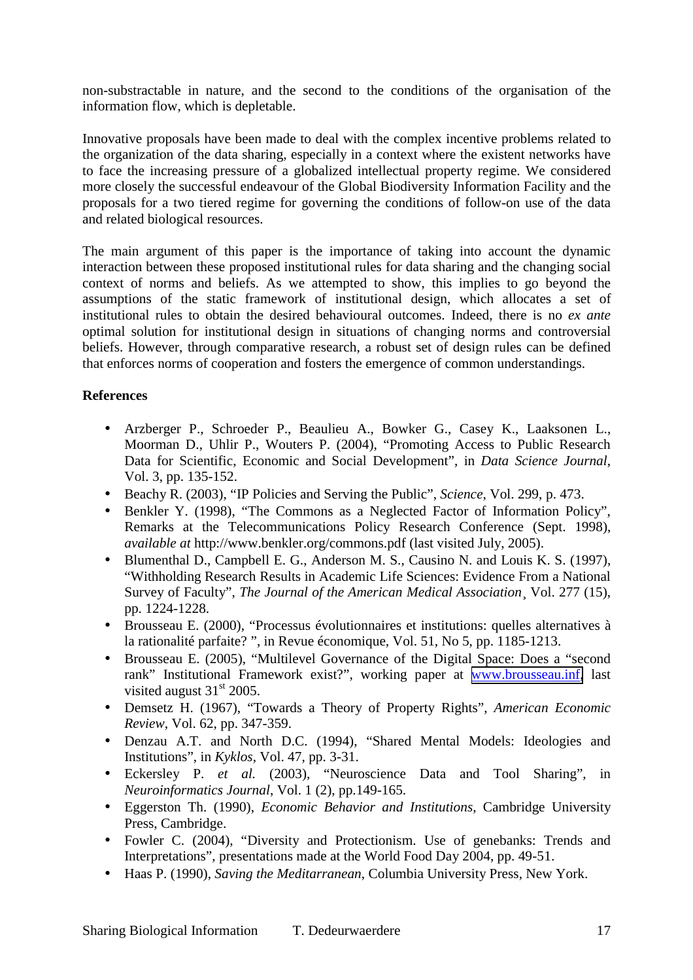non-substractable in nature, and the second to the conditions of the organisation of the information flow, which is depletable.

Innovative proposals have been made to deal with the complex incentive problems related to the organization of the data sharing, especially in a context where the existent networks have to face the increasing pressure of a globalized intellectual property regime. We considered more closely the successful endeavour of the Global Biodiversity Information Facility and the proposals for a two tiered regime for governing the conditions of follow-on use of the data and related biological resources.

The main argument of this paper is the importance of taking into account the dynamic interaction between these proposed institutional rules for data sharing and the changing social context of norms and beliefs. As we attempted to show, this implies to go beyond the assumptions of the static framework of institutional design, which allocates a set of institutional rules to obtain the desired behavioural outcomes. Indeed, there is no *ex ante* optimal solution for institutional design in situations of changing norms and controversial beliefs. However, through comparative research, a robust set of design rules can be defined that enforces norms of cooperation and fosters the emergence of common understandings.

# **References**

- Arzberger P., Schroeder P., Beaulieu A., Bowker G., Casey K., Laaksonen L., Moorman D., Uhlir P., Wouters P. (2004), "Promoting Access to Public Research Data for Scientific, Economic and Social Development", in *Data Science Journal*, Vol. 3, pp. 135-152.
- Beachy R. (2003), "IP Policies and Serving the Public", *Science*, Vol. 299, p. 473.
- Benkler Y. (1998), "The Commons as a Neglected Factor of Information Policy", Remarks at the Telecommunications Policy Research Conference (Sept. 1998), *available at* http://www.benkler.org/commons.pdf (last visited July, 2005).
- Blumenthal D., Campbell E. G., Anderson M. S., Causino N. and Louis K. S. (1997), "Withholding Research Results in Academic Life Sciences: Evidence From a National Survey of Faculty", *The Journal of the American Medical Association*¸ Vol. 277 (15), pp. 1224-1228.
- Brousseau E. (2000), "Processus évolutionnaires et institutions: quelles alternatives à la rationalité parfaite? ", in Revue économique, Vol. 51, No 5, pp. 1185-1213.
- Brousseau E. (2005), "Multilevel Governance of the Digital Space: Does a "second rank" Institutional Framework exist?", working paper at [www.brousseau.inf,](http://www.brousseau.inf/) last visited august  $31<sup>st</sup>$  2005.
- Demsetz H. (1967), "Towards a Theory of Property Rights", *American Economic Review*, Vol. 62, pp. 347-359.
- Denzau A.T. and North D.C. (1994), "Shared Mental Models: Ideologies and Institutions", in *Kyklos*, Vol. 47, pp. 3-31.
- Eckersley P. *et al.* (2003), "Neuroscience Data and Tool Sharing", in *Neuroinformatics Journal*, Vol. 1 (2), pp.149-165.
- Eggerston Th. (1990), *Economic Behavior and Institutions*, Cambridge University Press, Cambridge.
- Fowler C. (2004), "Diversity and Protectionism. Use of genebanks: Trends and Interpretations", presentations made at the World Food Day 2004, pp. 49-51.
- Haas P. (1990), *Saving the Meditarranean*, Columbia University Press, New York.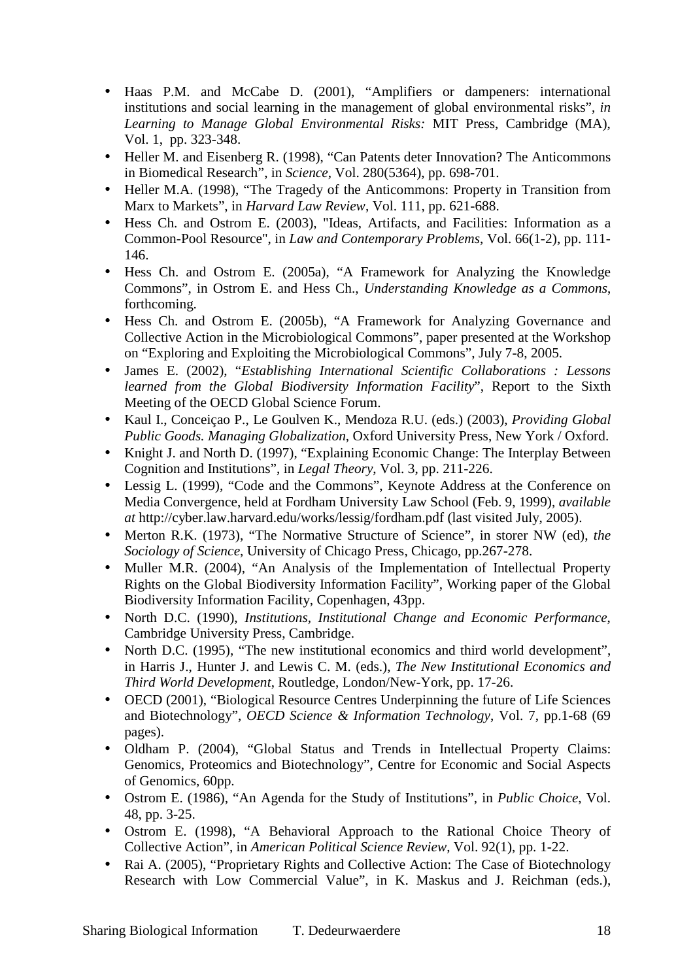- Haas P.M. and McCabe D. (2001), "Amplifiers or dampeners: international institutions and social learning in the management of global environmental risks", *in Learning to Manage Global Environmental Risks:* MIT Press, Cambridge (MA), Vol. 1, pp. 323-348.
- Heller M. and Eisenberg R. (1998), "Can Patents deter Innovation? The Anticommons in Biomedical Research", in *Science*, Vol. 280(5364), pp. 698-701.
- Heller M.A. (1998), "The Tragedy of the Anticommons: Property in Transition from Marx to Markets", in *Harvard Law Review*, Vol. 111, pp. 621-688.
- Hess Ch. and Ostrom E. (2003), "Ideas, Artifacts, and Facilities: Information as a Common-Pool Resource", in *Law and Contemporary Problems*, Vol. 66(1-2), pp. 111- 146.
- Hess Ch. and Ostrom E. (2005a), "A Framework for Analyzing the Knowledge Commons", in Ostrom E. and Hess Ch., *Understanding Knowledge as a Commons*, forthcoming.
- Hess Ch. and Ostrom E. (2005b), "A Framework for Analyzing Governance and Collective Action in the Microbiological Commons", paper presented at the Workshop on "Exploring and Exploiting the Microbiological Commons", July 7-8, 2005.
- James E. (2002), "*Establishing International Scientific Collaborations : Lessons learned from the Global Biodiversity Information Facility*", Report to the Sixth Meeting of the OECD Global Science Forum.
- Kaul I., Conceiçao P., Le Goulven K., Mendoza R.U. (eds.) (2003), *Providing Global Public Goods. Managing Globalization*, Oxford University Press, New York / Oxford.
- Knight J. and North D. (1997), "Explaining Economic Change: The Interplay Between Cognition and Institutions", in *Legal Theory*, Vol. 3, pp. 211-226.
- Lessig L. (1999), "Code and the Commons", Keynote Address at the Conference on Media Convergence, held at Fordham University Law School (Feb. 9, 1999), *available at* http://cyber.law.harvard.edu/works/lessig/fordham.pdf (last visited July, 2005).
- Merton R.K. (1973), "The Normative Structure of Science", in storer NW (ed), *the Sociology of Science*, University of Chicago Press, Chicago, pp.267-278.
- Muller M.R. (2004), "An Analysis of the Implementation of Intellectual Property Rights on the Global Biodiversity Information Facility", Working paper of the Global Biodiversity Information Facility, Copenhagen, 43pp.
- North D.C. (1990), *Institutions, Institutional Change and Economic Performance*, Cambridge University Press, Cambridge.
- North D.C. (1995), "The new institutional economics and third world development", in Harris J., Hunter J. and Lewis C. M. (eds.), *The New Institutional Economics and Third World Development*, Routledge, London/New-York, pp. 17-26.
- OECD (2001), "Biological Resource Centres Underpinning the future of Life Sciences and Biotechnology", *OECD Science & Information Technology*, Vol. 7, pp.1-68 (69 pages).
- Oldham P. (2004), "Global Status and Trends in Intellectual Property Claims: Genomics, Proteomics and Biotechnology", Centre for Economic and Social Aspects of Genomics, 60pp.
- Ostrom E. (1986), "An Agenda for the Study of Institutions", in *Public Choice*, Vol. 48, pp. 3-25.
- Ostrom E. (1998), "A Behavioral Approach to the Rational Choice Theory of Collective Action", in *American Political Science Review*, Vol. 92(1), pp. 1-22.
- Rai A. (2005), "Proprietary Rights and Collective Action: The Case of Biotechnology Research with Low Commercial Value", in K. Maskus and J. Reichman (eds.),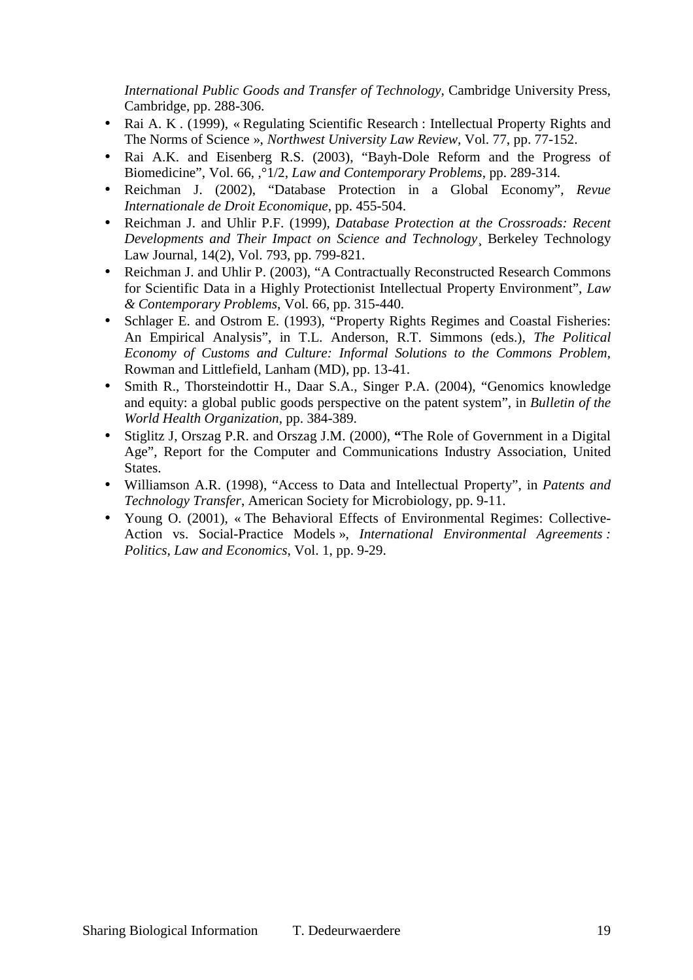*International Public Goods and Transfer of Technology*, Cambridge University Press, Cambridge, pp. 288-306.

- Rai A. K . (1999), « Regulating Scientific Research : Intellectual Property Rights and The Norms of Science », *Northwest University Law Review*, Vol. 77, pp. 77-152.
- Rai A.K. and Eisenberg R.S. (2003), "Bayh-Dole Reform and the Progress of Biomedicine", Vol. 66, ,°1/2, *Law and Contemporary Problems*, pp. 289-314.
- Reichman J. (2002), "Database Protection in a Global Economy", *Revue Internationale de Droit Economique*, pp. 455-504.
- Reichman J. and Uhlir P.F. (1999), *Database Protection at the Crossroads: Recent Developments and Their Impact on Science and Technology*¸ Berkeley Technology Law Journal, 14(2), Vol. 793, pp. 799-821.
- Reichman J. and Uhlir P. (2003), "A Contractually Reconstructed Research Commons for Scientific Data in a Highly Protectionist Intellectual Property Environment", *Law & Contemporary Problems*, Vol. 66, pp. 315-440.
- Schlager E. and Ostrom E. (1993), "Property Rights Regimes and Coastal Fisheries: An Empirical Analysis", in T.L. Anderson, R.T. Simmons (eds.), *The Political Economy of Customs and Culture: Informal Solutions to the Commons Problem*, Rowman and Littlefield, Lanham (MD), pp. 13-41.
- Smith R., Thorsteindottir H., Daar S.A., Singer P.A. (2004), "Genomics knowledge and equity: a global public goods perspective on the patent system", in *Bulletin of the World Health Organization*, pp. 384-389.
- Stiglitz J, Orszag P.R. and Orszag J.M. (2000), **"**The Role of Government in a Digital Age", Report for the Computer and Communications Industry Association, United **States**
- Williamson A.R. (1998), "Access to Data and Intellectual Property", in *Patents and Technology Transfer*, American Society for Microbiology, pp. 9-11.
- Young O. (2001), «The Behavioral Effects of Environmental Regimes: Collective-Action vs. Social-Practice Models », *International Environmental Agreements : Politics, Law and Economics*, Vol. 1, pp. 9-29.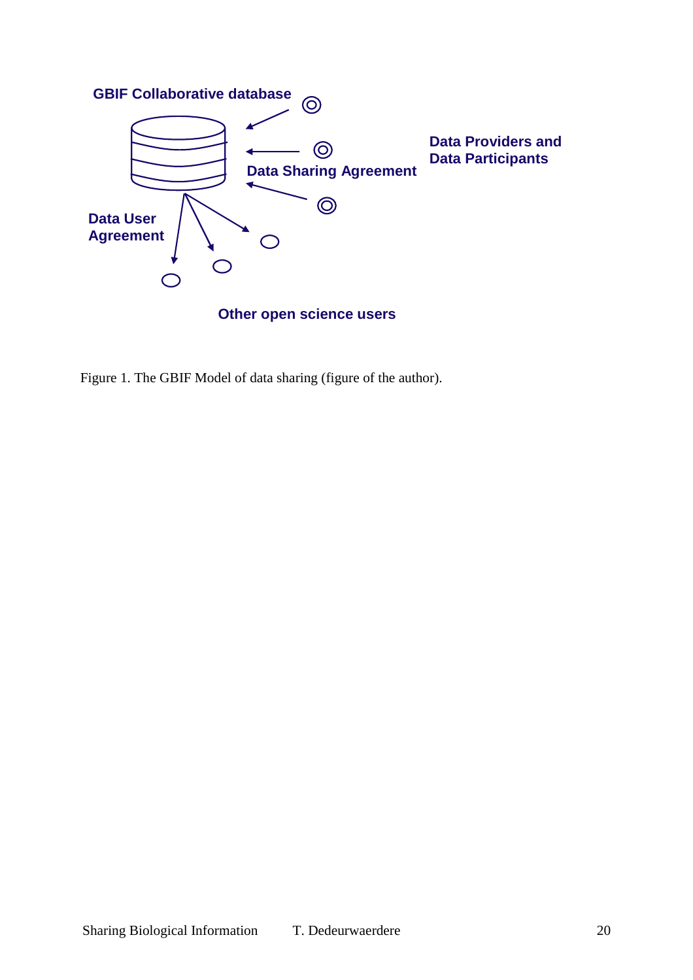

Figure 1. The GBIF Model of data sharing (figure of the author).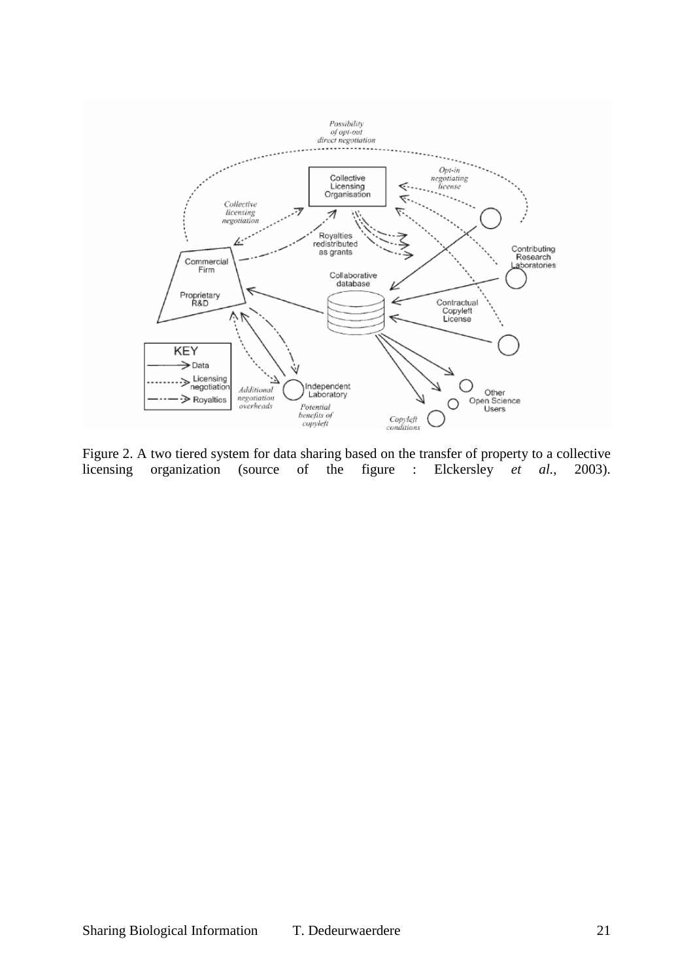

Figure 2. A two tiered system for data sharing based on the transfer of property to a collective licensing organization (source of the figure : Elckersley *et al.*, 2003).